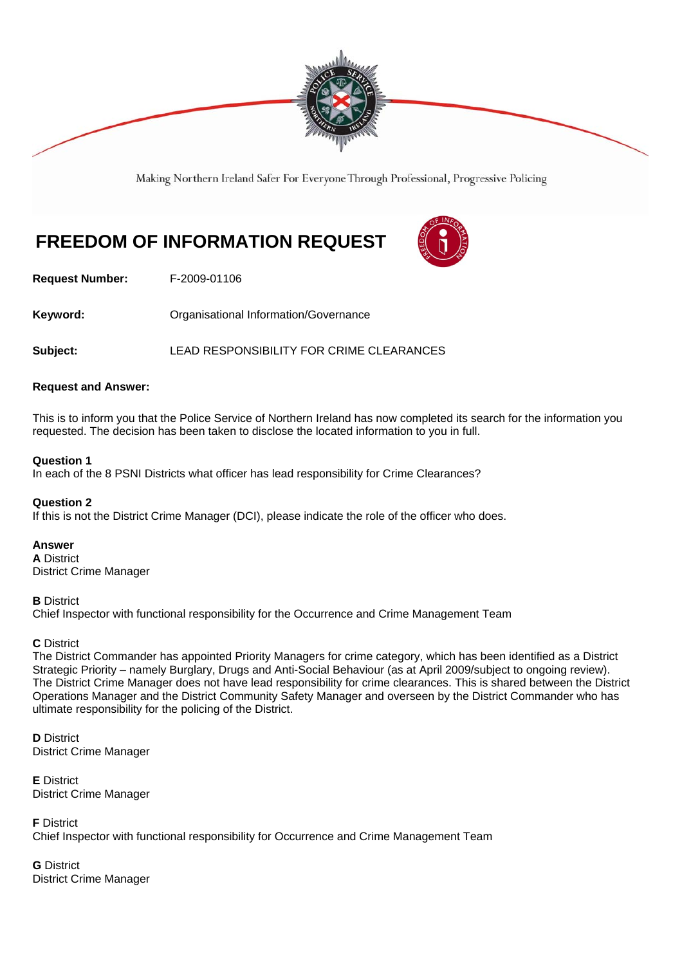

Making Northern Ireland Safer For Everyone Through Professional, Progressive Policing

# **FREEDOM OF INFORMATION REQUEST**



**Request Number:** F-2009-01106

**Keyword: C**rganisational Information/Governance

**Subject:** LEAD RESPONSIBILITY FOR CRIME CLEARANCES

## **Request and Answer:**

This is to inform you that the Police Service of Northern Ireland has now completed its search for the information you requested. The decision has been taken to disclose the located information to you in full.

## **Question 1**

In each of the 8 PSNI Districts what officer has lead responsibility for Crime Clearances?

#### **Question 2**

If this is not the District Crime Manager (DCI), please indicate the role of the officer who does.

## **Answer**

**A** District District Crime Manager

**B** District

Chief Inspector with functional responsibility for the Occurrence and Crime Management Team

## **C** District

The District Commander has appointed Priority Managers for crime category, which has been identified as a District Strategic Priority – namely Burglary, Drugs and Anti-Social Behaviour (as at April 2009/subject to ongoing review). The District Crime Manager does not have lead responsibility for crime clearances. This is shared between the District Operations Manager and the District Community Safety Manager and overseen by the District Commander who has ultimate responsibility for the policing of the District.

**D** District District Crime Manager

**E** District District Crime Manager

**F** District Chief Inspector with functional responsibility for Occurrence and Crime Management Team

**G** District District Crime Manager